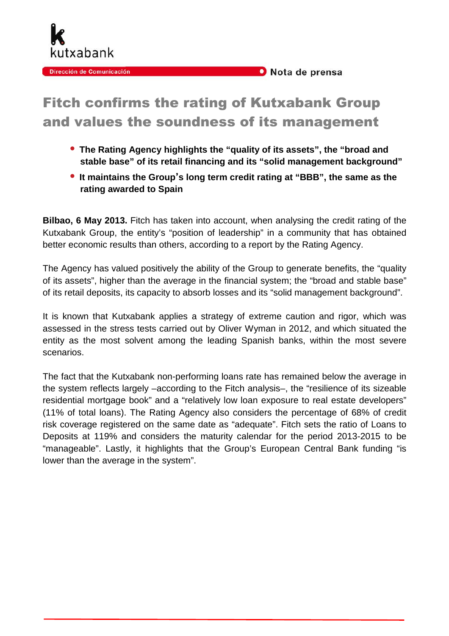

## Nota de prensa

## Fitch confirms the rating of Kutxabank Group and values the soundness of its management

- **The Rating Agency highlights the "quality of its assets", the "broad and stable base" of its retail financing and its "solid management background"**
- **It maintains the Group**'**s long term credit rating at "BBB", the same as the rating awarded to Spain**

**Bilbao, 6 May 2013.** Fitch has taken into account, when analysing the credit rating of the Kutxabank Group, the entity's "position of leadership" in a community that has obtained better economic results than others, according to a report by the Rating Agency.

The Agency has valued positively the ability of the Group to generate benefits, the "quality of its assets", higher than the average in the financial system; the "broad and stable base" of its retail deposits, its capacity to absorb losses and its "solid management background".

It is known that Kutxabank applies a strategy of extreme caution and rigor, which was assessed in the stress tests carried out by Oliver Wyman in 2012, and which situated the entity as the most solvent among the leading Spanish banks, within the most severe scenarios.

The fact that the Kutxabank non-performing loans rate has remained below the average in the system reflects largely –according to the Fitch analysis–, the "resilience of its sizeable residential mortgage book" and a "relatively low loan exposure to real estate developers" (11% of total loans). The Rating Agency also considers the percentage of 68% of credit risk coverage registered on the same date as "adequate". Fitch sets the ratio of Loans to Deposits at 119% and considers the maturity calendar for the period 2013-2015 to be "manageable". Lastly, it highlights that the Group's European Central Bank funding "is lower than the average in the system".